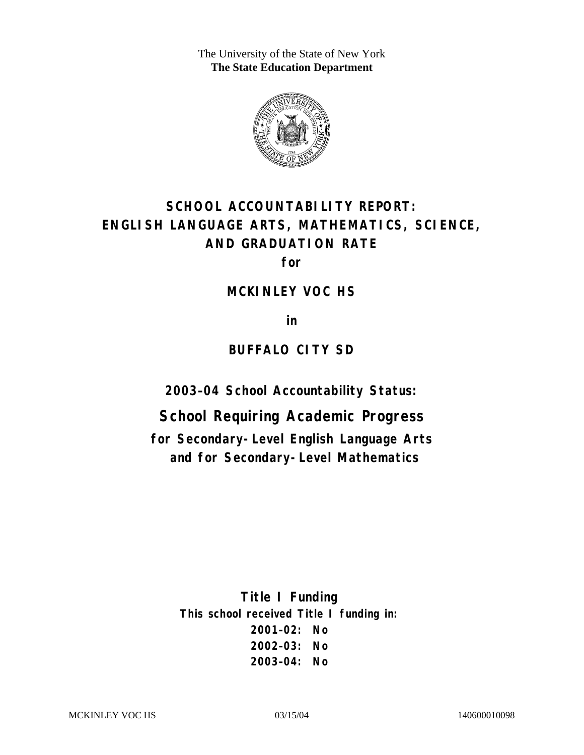The University of the State of New York **The State Education Department** 



# **SCHOOL ACCOUNTABILITY REPORT: ENGLISH LANGUAGE ARTS, MATHEMATICS, SCIENCE, AND GRADUATION RATE**

**for** 

### **MCKINLEY VOC HS**

**in** 

# **BUFFALO CITY SD**

**2003–04 School Accountability Status:** 

**School Requiring Academic Progress for Secondary-Level English Language Arts and for Secondary-Level Mathematics**

> **Title I Funding This school received Title I funding in: 2001–02: No 2002–03: No 2003–04: No**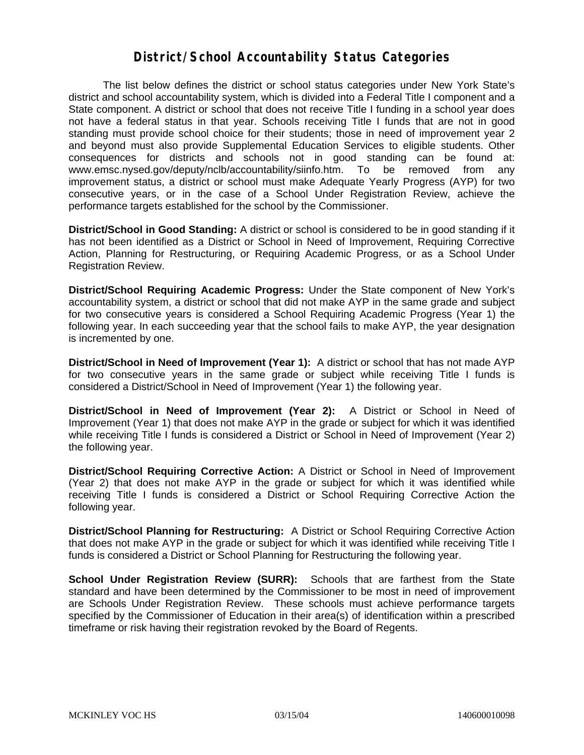### **District/School Accountability Status Categories**

The list below defines the district or school status categories under New York State's district and school accountability system, which is divided into a Federal Title I component and a State component. A district or school that does not receive Title I funding in a school year does not have a federal status in that year. Schools receiving Title I funds that are not in good standing must provide school choice for their students; those in need of improvement year 2 and beyond must also provide Supplemental Education Services to eligible students. Other consequences for districts and schools not in good standing can be found at: www.emsc.nysed.gov/deputy/nclb/accountability/siinfo.htm. To be removed from any improvement status, a district or school must make Adequate Yearly Progress (AYP) for two consecutive years, or in the case of a School Under Registration Review, achieve the performance targets established for the school by the Commissioner.

**District/School in Good Standing:** A district or school is considered to be in good standing if it has not been identified as a District or School in Need of Improvement, Requiring Corrective Action, Planning for Restructuring, or Requiring Academic Progress, or as a School Under Registration Review.

**District/School Requiring Academic Progress:** Under the State component of New York's accountability system, a district or school that did not make AYP in the same grade and subject for two consecutive years is considered a School Requiring Academic Progress (Year 1) the following year. In each succeeding year that the school fails to make AYP, the year designation is incremented by one.

**District/School in Need of Improvement (Year 1):** A district or school that has not made AYP for two consecutive years in the same grade or subject while receiving Title I funds is considered a District/School in Need of Improvement (Year 1) the following year.

**District/School in Need of Improvement (Year 2):** A District or School in Need of Improvement (Year 1) that does not make AYP in the grade or subject for which it was identified while receiving Title I funds is considered a District or School in Need of Improvement (Year 2) the following year.

**District/School Requiring Corrective Action:** A District or School in Need of Improvement (Year 2) that does not make AYP in the grade or subject for which it was identified while receiving Title I funds is considered a District or School Requiring Corrective Action the following year.

**District/School Planning for Restructuring:** A District or School Requiring Corrective Action that does not make AYP in the grade or subject for which it was identified while receiving Title I funds is considered a District or School Planning for Restructuring the following year.

**School Under Registration Review (SURR):** Schools that are farthest from the State standard and have been determined by the Commissioner to be most in need of improvement are Schools Under Registration Review. These schools must achieve performance targets specified by the Commissioner of Education in their area(s) of identification within a prescribed timeframe or risk having their registration revoked by the Board of Regents.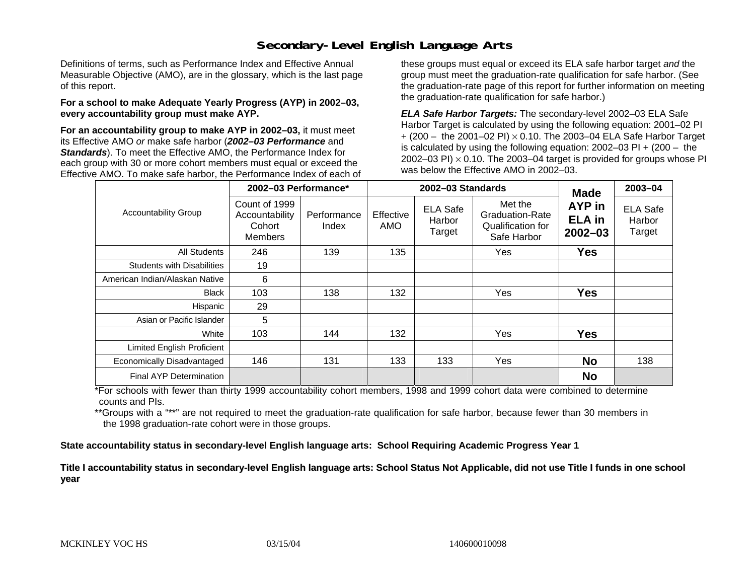# **Secondary-Level English Language Arts**

Definitions of terms, such as Performance Index and Effective Annual Measurable Objective (AMO), are in the glossary, which is the last page of this report.

#### **For a school to make Adequate Yearly Progress (AYP) in 2002–03, every accountability group must make AYP.**

**For an accountability group to make AYP in 2002–03,** it must meet its Effective AMO *or* make safe harbor (*2002–03 Performance* and *Standards*). To meet the Effective AMO, the Performance Index for each group with 30 or more cohort members must equal or exceed the Effective AMO. To make safe harbor, the Performance Index of each of these groups must equal or exceed its ELA safe harbor target *and* the group must meet the graduation-rate qualification for safe harbor. (See the graduation-rate page of this report for further information on meeting the graduation-rate qualification for safe harbor.)

*ELA Safe Harbor Targets:* The secondary-level 2002–03 ELA Safe Harbor Target is calculated by using the following equation: 2001–02 PI + (200 – the 2001–02 PI) <sup>×</sup> 0.10. The 2003–04 ELA Safe Harbor Target is calculated by using the following equation: 2002–03 PI + (200 – the 2002–03 PI)  $\times$  0.10. The 2003–04 target is provided for groups whose PI was below the Effective AMO in 2002–03.

| <b>Accountability Group</b>       | 2002-03 Performance*                                        |                      |                  | 2002-03 Standards                   | <b>Made</b>                                                           | 2003-04                                |                                     |
|-----------------------------------|-------------------------------------------------------------|----------------------|------------------|-------------------------------------|-----------------------------------------------------------------------|----------------------------------------|-------------------------------------|
|                                   | Count of 1999<br>Accountability<br>Cohort<br><b>Members</b> | Performance<br>Index | Effective<br>AMO | <b>ELA Safe</b><br>Harbor<br>Target | Met the<br><b>Graduation-Rate</b><br>Qualification for<br>Safe Harbor | AYP in<br><b>ELA</b> in<br>$2002 - 03$ | <b>ELA Safe</b><br>Harbor<br>Target |
| All Students                      | 246                                                         | 139                  | 135              |                                     | Yes                                                                   | <b>Yes</b>                             |                                     |
| <b>Students with Disabilities</b> | 19                                                          |                      |                  |                                     |                                                                       |                                        |                                     |
| American Indian/Alaskan Native    | 6                                                           |                      |                  |                                     |                                                                       |                                        |                                     |
| <b>Black</b>                      | 103                                                         | 138                  | 132              |                                     | Yes                                                                   | <b>Yes</b>                             |                                     |
| Hispanic                          | 29                                                          |                      |                  |                                     |                                                                       |                                        |                                     |
| Asian or Pacific Islander         | 5                                                           |                      |                  |                                     |                                                                       |                                        |                                     |
| White                             | 103                                                         | 144                  | 132              |                                     | Yes                                                                   | <b>Yes</b>                             |                                     |
| <b>Limited English Proficient</b> |                                                             |                      |                  |                                     |                                                                       |                                        |                                     |
| Economically Disadvantaged        | 146                                                         | 131                  | 133              | 133                                 | Yes                                                                   | <b>No</b>                              | 138                                 |
| Final AYP Determination           |                                                             |                      |                  |                                     |                                                                       | <b>No</b>                              |                                     |

\*For schools with fewer than thirty 1999 accountability cohort members, 1998 and 1999 cohort data were combined to determine counts and PIs.

\*\*Groups with a "\*\*" are not required to meet the graduation-rate qualification for safe harbor, because fewer than 30 members in the 1998 graduation-rate cohort were in those groups.

**State accountability status in secondary-level English language arts: School Requiring Academic Progress Year 1** 

Title I accountability status in secondary-level English language arts: School Status Not Applicable, did not use Title I funds in one school **y ear**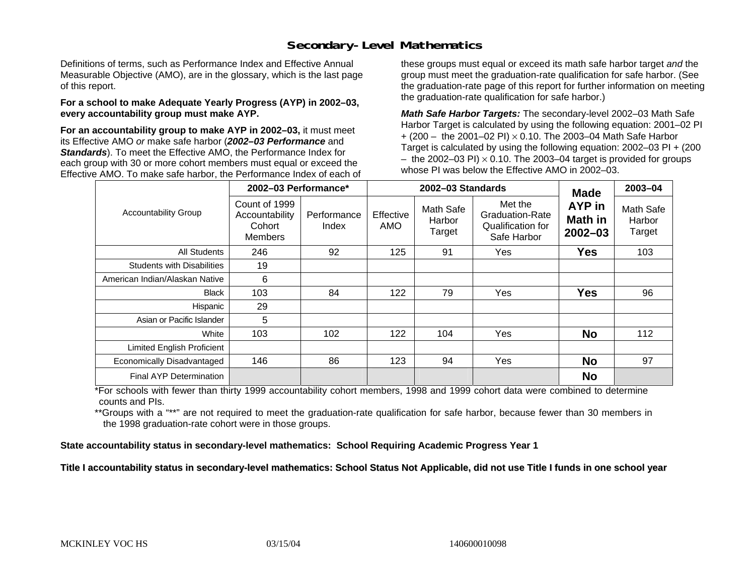# **Secondary-Level Mathematics**

Definitions of terms, such as Performance Index and Effective Annual Measurable Objective (AMO), are in the glossary, which is the last page of this report.

#### **For a school to make Adequate Yearly Progress (AYP) in 2002–03, every accountability group must make AYP.**

**For an accountability group to make AYP in 2002–03,** it must meet its Effective AMO *or* make safe harbor (*2002–03 Performance* and *Standards*). To meet the Effective AMO, the Performance Index for each group with 30 or more cohort members must equal or exceed the Effective AMO. To make safe harbor, the Performance Index of each of these groups must equal or exceed its math safe harbor target *and* the group must meet the graduation-rate qualification for safe harbor. (See the graduation-rate page of this report for further information on meeting the graduation-rate qualification for safe harbor.)

*Math Safe Harbor Targets:* The secondary-level 2002–03 Math Safe Harbor Target is calculated by using the following equation: 2001–02 PI + (200 – the 2001–02 PI) × 0.10. The 2003–04 Math Safe Harbor Target is calculated by using the following equation: 2002–03 PI + (200  $-$  the 2002–03 PI)  $\times$  0.10. The 2003–04 target is provided for groups whose PI was below the Effective AMO in 2002–03.

| <b>Accountability Group</b>       | 2002-03 Performance*                                        |                      |                  | 2002-03 Standards             | <b>Made</b>                                                           | 2003-04                          |                               |
|-----------------------------------|-------------------------------------------------------------|----------------------|------------------|-------------------------------|-----------------------------------------------------------------------|----------------------------------|-------------------------------|
|                                   | Count of 1999<br>Accountability<br>Cohort<br><b>Members</b> | Performance<br>Index | Effective<br>AMO | Math Safe<br>Harbor<br>Target | Met the<br><b>Graduation-Rate</b><br>Qualification for<br>Safe Harbor | AYP in<br>Math in<br>$2002 - 03$ | Math Safe<br>Harbor<br>Target |
| All Students                      | 246                                                         | 92                   | 125              | 91                            | Yes                                                                   | <b>Yes</b>                       | 103                           |
| <b>Students with Disabilities</b> | 19                                                          |                      |                  |                               |                                                                       |                                  |                               |
| American Indian/Alaskan Native    | 6                                                           |                      |                  |                               |                                                                       |                                  |                               |
| <b>Black</b>                      | 103                                                         | 84                   | 122              | 79                            | Yes                                                                   | <b>Yes</b>                       | 96                            |
| Hispanic                          | 29                                                          |                      |                  |                               |                                                                       |                                  |                               |
| Asian or Pacific Islander         | 5                                                           |                      |                  |                               |                                                                       |                                  |                               |
| White                             | 103                                                         | 102                  | 122              | 104                           | Yes                                                                   | <b>No</b>                        | 112                           |
| Limited English Proficient        |                                                             |                      |                  |                               |                                                                       |                                  |                               |
| Economically Disadvantaged        | 146                                                         | 86                   | 123              | 94                            | Yes                                                                   | <b>No</b>                        | 97                            |
| <b>Final AYP Determination</b>    |                                                             |                      |                  |                               |                                                                       | <b>No</b>                        |                               |

\*For schools with fewer than thirty 1999 accountability cohort members, 1998 and 1999 cohort data were combined to determine counts and PIs.

\*\*Groups with a "\*\*" are not required to meet the graduation-rate qualification for safe harbor, because fewer than 30 members in the 1998 graduation-rate cohort were in those groups.

**State accountability status in secondary-level mathematics: School Requiring Academic Progress Year 1** 

Title I accountability status in secondary-level mathematics: School Status Not Applicable, did not use Title I funds in one school year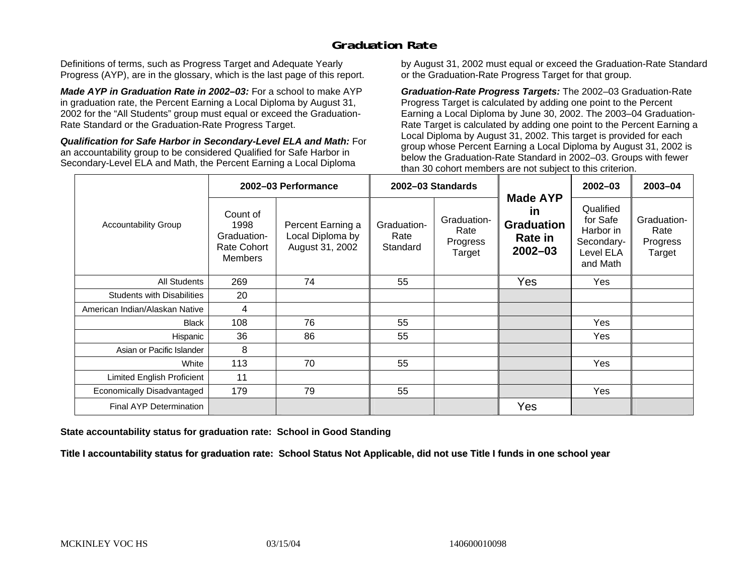# **Graduation Rate**

Definitions of terms, such as Progress Target and Adequate Yearly Progress (AYP), are in the glossary, which is the last page of this report.

*Made AYP in Graduation Rate in 2002–03:* For a school to make AYP in graduation rate, the Percent Earning a Local Diploma by August 31, 2002 for the "All Students" group must equal or exceed the Graduation-Rate Standard or the Graduation-Rate Progress Target.

*Qualification for Safe Harbor in Secondary-Level ELA and Math:* For an accountability group to be considered Qualified for Safe Harbor in Secondary-Level ELA and Math, the Percent Earning a Local Diploma

by August 31, 2002 must equal or exceed the Graduation-Rate Standard or the Graduation-Rate Progress Target for that group.

*Graduation-Rate Progress Targets:* The 2002–03 Graduation-Rate Progress Target is calculated by adding one point to the Percent Earning a Local Diploma by June 30, 2002. The 2003–04 Graduation-Rate Target is calculated by adding one point to the Percent Earning a Local Diploma by August 31, 2002. This target is provided for each group whose Percent Earning a Local Diploma by August 31, 2002 is below the Graduation-Rate Standard in 2002–03. Groups with fewer than 30 cohort members are not subject to this criterion.

|                                   | 2002-03 Performance                                              |                                                          | 2002-03 Standards               |                                           |                                                                             | 2002-03                                                                   | 2003-04                                   |
|-----------------------------------|------------------------------------------------------------------|----------------------------------------------------------|---------------------------------|-------------------------------------------|-----------------------------------------------------------------------------|---------------------------------------------------------------------------|-------------------------------------------|
| <b>Accountability Group</b>       | Count of<br>1998<br>Graduation-<br>Rate Cohort<br><b>Members</b> | Percent Earning a<br>Local Diploma by<br>August 31, 2002 | Graduation-<br>Rate<br>Standard | Graduation-<br>Rate<br>Progress<br>Target | <b>Made AYP</b><br><u>in</u><br><b>Graduation</b><br>Rate in<br>$2002 - 03$ | Qualified<br>for Safe<br>Harbor in<br>Secondary-<br>Level ELA<br>and Math | Graduation-<br>Rate<br>Progress<br>Target |
| All Students                      | 269                                                              | 74                                                       | 55                              |                                           | Yes                                                                         | Yes                                                                       |                                           |
| <b>Students with Disabilities</b> | 20                                                               |                                                          |                                 |                                           |                                                                             |                                                                           |                                           |
| American Indian/Alaskan Native    | 4                                                                |                                                          |                                 |                                           |                                                                             |                                                                           |                                           |
| <b>Black</b>                      | 108                                                              | 76                                                       | 55                              |                                           |                                                                             | Yes                                                                       |                                           |
| Hispanic                          | 36                                                               | 86                                                       | 55                              |                                           |                                                                             | Yes                                                                       |                                           |
| Asian or Pacific Islander         | 8                                                                |                                                          |                                 |                                           |                                                                             |                                                                           |                                           |
| White                             | 113                                                              | 70                                                       | 55                              |                                           |                                                                             | Yes                                                                       |                                           |
| Limited English Proficient        | 11                                                               |                                                          |                                 |                                           |                                                                             |                                                                           |                                           |
| Economically Disadvantaged        | 179                                                              | 79                                                       | 55                              |                                           |                                                                             | Yes                                                                       |                                           |
| <b>Final AYP Determination</b>    |                                                                  |                                                          |                                 |                                           | Yes                                                                         |                                                                           |                                           |

**State accountability status for graduation rate: School in Good Standing** 

Title I accountability status for graduation rate: School Status Not Applicable, did not use Title I funds in one school year